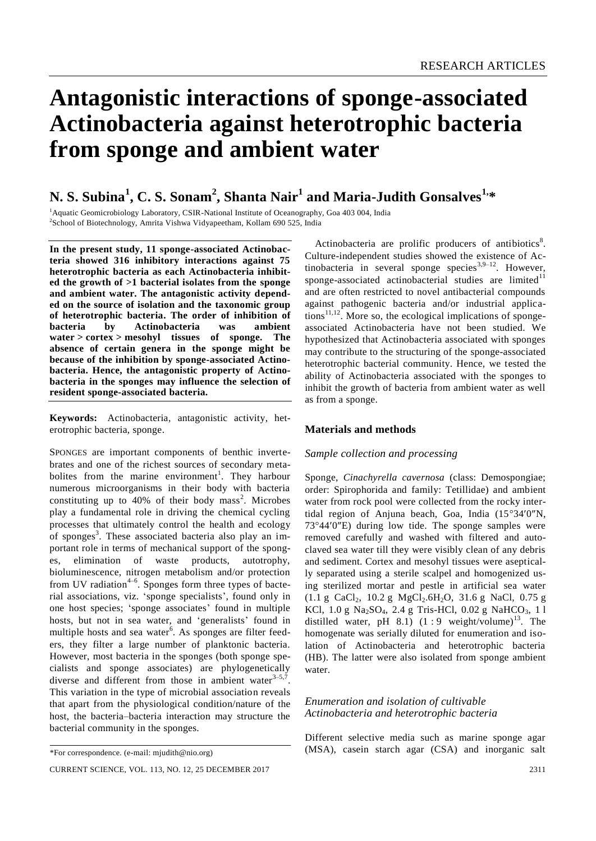# **Antagonistic interactions of sponge-associated Actinobacteria against heterotrophic bacteria from sponge and ambient water**

# **N. S. Subina<sup>1</sup> , C. S. Sonam<sup>2</sup> , Shanta Nair<sup>1</sup> and Maria-Judith Gonsalves1,\***

<sup>1</sup> Aquatic Geomicrobiology Laboratory, CSIR-National Institute of Oceanography, Goa 403 004, India <sup>2</sup>School of Biotechnology, Amrita Vishwa Vidyapeetham, Kollam 690 525, India

**In the present study, 11 sponge-associated Actinobacteria showed 316 inhibitory interactions against 75 heterotrophic bacteria as each Actinobacteria inhibited the growth of >1 bacterial isolates from the sponge and ambient water. The antagonistic activity depended on the source of isolation and the taxonomic group of heterotrophic bacteria. The order of inhibition of bacteria by Actinobacteria was ambient water > cortex > mesohyl tissues of sponge. The absence of certain genera in the sponge might be because of the inhibition by sponge-associated Actinobacteria. Hence, the antagonistic property of Actinobacteria in the sponges may influence the selection of resident sponge-associated bacteria.** 

**Keywords:** Actinobacteria, antagonistic activity, heterotrophic bacteria, sponge.

SPONGES are important components of benthic invertebrates and one of the richest sources of secondary metabolites from the marine environment<sup>1</sup>. They harbour numerous microorganisms in their body with bacteria constituting up to  $40\%$  of their body mass<sup>2</sup>. Microbes play a fundamental role in driving the chemical cycling processes that ultimately control the health and ecology of sponges<sup>3</sup>. These associated bacteria also play an important role in terms of mechanical support of the sponges, elimination of waste products, autotrophy, bioluminescence, nitrogen metabolism and/or protection from UV radiation<sup>4-6</sup>. Sponges form three types of bacterial associations, viz. 'sponge specialists', found only in one host species; 'sponge associates' found in multiple hosts, but not in sea water, and 'generalists' found in multiple hosts and sea water<sup>6</sup>. As sponges are filter feeders, they filter a large number of planktonic bacteria. However, most bacteria in the sponges (both sponge specialists and sponge associates) are phylogenetically diverse and different from those in ambient water  $3-5,7$ . This variation in the type of microbial association reveals that apart from the physiological condition/nature of the host, the bacteria–bacteria interaction may structure the bacterial community in the sponges.

Actinobacteria are prolific producers of antibiotics<sup>8</sup>. Culture-independent studies showed the existence of Actinobacteria in several sponge species<sup>3,9-12</sup>. However, sponge-associated actinobacterial studies are limited $11$ and are often restricted to novel antibacterial compounds against pathogenic bacteria and/or industrial applica $tions<sup>11,12</sup>$ . More so, the ecological implications of spongeassociated Actinobacteria have not been studied. We hypothesized that Actinobacteria associated with sponges may contribute to the structuring of the sponge-associated heterotrophic bacterial community. Hence, we tested the ability of Actinobacteria associated with the sponges to inhibit the growth of bacteria from ambient water as well as from a sponge.

## **Materials and methods**

#### *Sample collection and processing*

Sponge, *Cinachyrella cavernosa* (class: Demospongiae; order: Spirophorida and family: Tetillidae) and ambient water from rock pool were collected from the rocky intertidal region of Anjuna beach, Goa, India  $(15^{\circ}34'0'')$ N,  $73^{\circ}44'0''$ E) during low tide. The sponge samples were removed carefully and washed with filtered and autoclaved sea water till they were visibly clean of any debris and sediment. Cortex and mesohyl tissues were aseptically separated using a sterile scalpel and homogenized using sterilized mortar and pestle in artificial sea water  $(1.1 \text{ g } CaCl<sub>2</sub>, 10.2 \text{ g } MgCl<sub>2</sub>.6H<sub>2</sub>O, 31.6 \text{ g } NaCl, 0.75 \text{ g }$ KCl,  $1.0 \text{ g } \text{Na}_2\text{SO}_4$ ,  $2.4 \text{ g } \text{Tris-HCl}$ ,  $0.02 \text{ g } \text{NaHCO}_3$ ,  $11$ distilled water, pH  $8.1$ ) (1 : 9 weight/volume)<sup>13</sup>. The homogenate was serially diluted for enumeration and isolation of Actinobacteria and heterotrophic bacteria (HB). The latter were also isolated from sponge ambient water.

### *Enumeration and isolation of cultivable Actinobacteria and heterotrophic bacteria*

Different selective media such as marine sponge agar (MSA), casein starch agar (CSA) and inorganic salt

<sup>\*</sup>For correspondence. (e-mail: mjudith@nio.org)

CURRENT SCIENCE, VOL. 113, NO. 12, 25 DECEMBER 2017 2311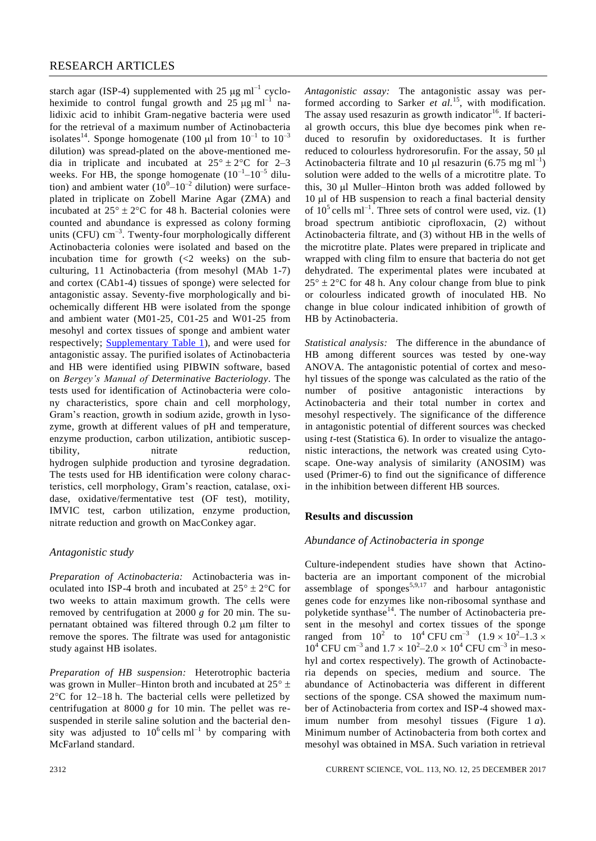starch agar (ISP-4) supplemented with 25  $\mu$ g ml<sup>-1</sup> cycloheximide to control fungal growth and  $25 \mu g \text{ ml}^{-1}$  nalidixic acid to inhibit Gram-negative bacteria were used for the retrieval of a maximum number of Actinobacteria isolates<sup>14</sup>. Sponge homogenate (100 µl from  $10^{-1}$  to  $10^{-3}$ ) dilution) was spread-plated on the above-mentioned media in triplicate and incubated at  $25^{\circ} \pm 2^{\circ}$ C for 2–3 weeks. For HB, the sponge homogenate  $(10^{-1} - 10^{-5})$  dilution) and ambient water  $(10^{0} - 10^{-2}$  dilution) were surfaceplated in triplicate on Zobell Marine Agar (ZMA) and incubated at  $25^{\circ} \pm 2^{\circ}$ C for 48 h. Bacterial colonies were counted and abundance is expressed as colony forming units (CFU)  $cm^{-3}$ . Twenty-four morphologically different Actinobacteria colonies were isolated and based on the incubation time for growth (<2 weeks) on the subculturing, 11 Actinobacteria (from mesohyl (MAb 1-7) and cortex (CAb1-4) tissues of sponge) were selected for antagonistic assay. Seventy-five morphologically and biochemically different HB were isolated from the sponge and ambient water (M01-25, C01-25 and W01-25 from mesohyl and cortex tissues of sponge and ambient water respectively; **Supplementary Table 1**), and were used for antagonistic assay. The purified isolates of Actinobacteria and HB were identified using PIBWIN software, based on *Bergey's Manual of Determinative Bacteriology*. The tests used for identification of Actinobacteria were colony characteristics, spore chain and cell morphology, Gram's reaction, growth in sodium azide, growth in lysozyme, growth at different values of pH and temperature, enzyme production, carbon utilization, antibiotic susceptibility, nitrate reduction, hydrogen sulphide production and tyrosine degradation. The tests used for HB identification were colony characteristics, cell morphology, Gram's reaction, catalase, oxidase, oxidative/fermentative test (OF test), motility, IMVIC test, carbon utilization, enzyme production, nitrate reduction and growth on MacConkey agar.

### *Antagonistic study*

*Preparation of Actinobacteria:* Actinobacteria was inoculated into ISP-4 broth and incubated at  $25^{\circ} \pm 2^{\circ}$ C for two weeks to attain maximum growth. The cells were removed by centrifugation at 2000 *g* for 20 min. The supernatant obtained was filtered through  $0.2 \mu m$  filter to remove the spores. The filtrate was used for antagonistic study against HB isolates.

*Preparation of HB suspension:* Heterotrophic bacteria was grown in Muller–Hinton broth and incubated at  $25^{\circ}$  ±  $2^{\circ}$ C for 12–18 h. The bacterial cells were pelletized by centrifugation at 8000 *g* for 10 min. The pellet was resuspended in sterile saline solution and the bacterial density was adjusted to  $10^6$  cells ml<sup>-1</sup> by comparing with McFarland standard.

*Antagonistic assay:* The antagonistic assay was performed according to Sarker *et al.*<sup>15</sup>, with modification. The assay used resazurin as growth indicator<sup>16</sup>. If bacterial growth occurs, this blue dye becomes pink when reduced to resorufin by oxidoreductases. It is further reduced to colourless hydroresorufin. For the assay, 50 µl Actinobacteria filtrate and 10  $\mu$ l resazurin (6.75 mg ml<sup>-1</sup>) solution were added to the wells of a microtitre plate. To this, 30 µl Muller–Hinton broth was added followed by 10 µl of HB suspension to reach a final bacterial density of  $10^5$  cells ml<sup>-1</sup>. Three sets of control were used, viz. (1) broad spectrum antibiotic ciprofloxacin, (2) without Actinobacteria filtrate, and (3) without HB in the wells of the microtitre plate. Plates were prepared in triplicate and wrapped with cling film to ensure that bacteria do not get dehydrated. The experimental plates were incubated at  $25^{\circ} \pm 2^{\circ}$ C for 48 h. Any colour change from blue to pink or colourless indicated growth of inoculated HB. No change in blue colour indicated inhibition of growth of HB by Actinobacteria.

*Statistical analysis:* The difference in the abundance of HB among different sources was tested by one-way ANOVA. The antagonistic potential of cortex and mesohyl tissues of the sponge was calculated as the ratio of the number of positive antagonistic interactions by Actinobacteria and their total number in cortex and mesohyl respectively. The significance of the difference in antagonistic potential of different sources was checked using *t*-test (Statistica 6). In order to visualize the antagonistic interactions, the network was created using Cytoscape. One-way analysis of similarity (ANOSIM) was used (Primer-6) to find out the significance of difference in the inhibition between different HB sources.

#### **Results and discussion**

#### *Abundance of Actinobacteria in sponge*

Culture-independent studies have shown that Actinobacteria are an important component of the microbial assemblage of sponges<sup>5,9,17</sup> and harbour antagonistic genes code for enzymes like non-ribosomal synthase and polyketide synthase<sup>14</sup>. The number of Actinobacteria present in the mesohyl and cortex tissues of the sponge ranged from  $10^2$  to  $10^4$  CFU cm<sup>-3</sup>  $(1.9 \times 10^2 - 1.3 \times$  $10^4$  CFU cm<sup>-3</sup> and  $1.7 \times 10^2$ – $2.0 \times 10^4$  CFU cm<sup>-3</sup> in mesohyl and cortex respectively). The growth of Actinobacteria depends on species, medium and source. The abundance of Actinobacteria was different in different sections of the sponge. CSA showed the maximum number of Actinobacteria from cortex and ISP-4 showed maximum number from mesohyl tissues (Figure 1 *a*). Minimum number of Actinobacteria from both cortex and mesohyl was obtained in MSA. Such variation in retrieval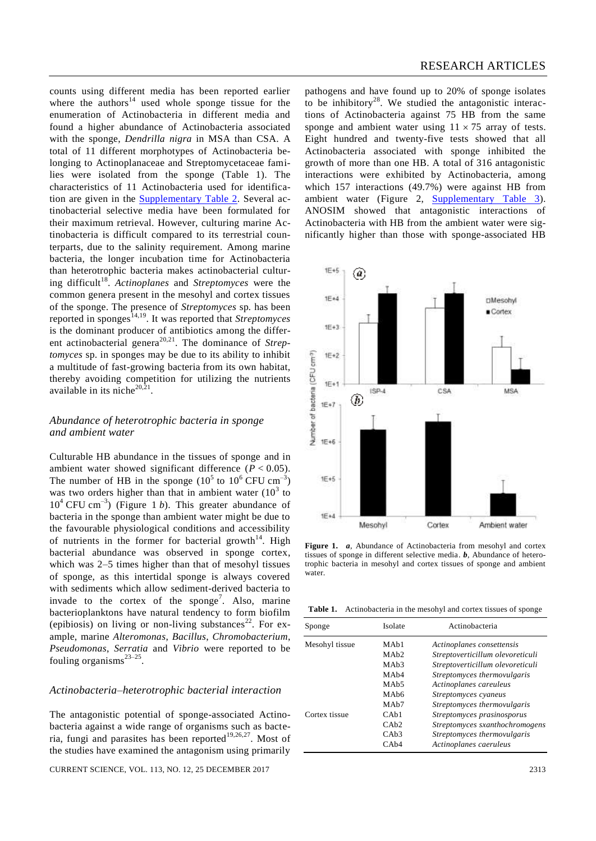counts using different media has been reported earlier where the authors<sup>14</sup> used whole sponge tissue for the enumeration of Actinobacteria in different media and found a higher abundance of Actinobacteria associated with the sponge, *Dendrilla nigra* in MSA than CSA. A total of 11 different morphotypes of Actinobacteria belonging to Actinoplanaceae and Streptomycetaceae families were isolated from the sponge (Table 1). The characteristics of 11 Actinobacteria used for identification are given in the [Supplementary Table 2.](http://www.currentscience.ac.in/Volumes/113/12/2311-suppl.pdf) Several actinobacterial selective media have been formulated for their maximum retrieval. However, culturing marine Actinobacteria is difficult compared to its terrestrial counterparts, due to the salinity requirement. Among marine bacteria, the longer incubation time for Actinobacteria than heterotrophic bacteria makes actinobacterial culturing difficult<sup>18</sup>. Actinoplanes and Streptomyces were the common genera present in the mesohyl and cortex tissues of the sponge. The presence of *Streptomyces* sp*.* has been reported in sponges<sup>14,19</sup>. It was reported that *Streptomyces* is the dominant producer of antibiotics among the different actinobacterial genera<sup>20,21</sup>. The dominance of *Streptomyces* sp. in sponges may be due to its ability to inhibit a multitude of fast-growing bacteria from its own habitat, thereby avoiding competition for utilizing the nutrients available in its niche $20,21$ .

# *Abundance of heterotrophic bacteria in sponge and ambient water*

Culturable HB abundance in the tissues of sponge and in ambient water showed significant difference  $(P < 0.05)$ . The number of HB in the sponge  $(10^5 \text{ to } 10^6 \text{ CFU cm}^{-3})$ was two orders higher than that in ambient water  $(10^3$  to  $10<sup>4</sup>$  CFU cm<sup>-3</sup>) (Figure 1 *b*). This greater abundance of bacteria in the sponge than ambient water might be due to the favourable physiological conditions and accessibility of nutrients in the former for bacterial growth $14$ . High bacterial abundance was observed in sponge cortex, which was 2–5 times higher than that of mesohyl tissues of sponge, as this intertidal sponge is always covered with sediments which allow sediment-derived bacteria to invade to the cortex of the sponge<sup>7</sup>. Also, marine bacterioplanktons have natural tendency to form biofilm (epibiosis) on living or non-living substances<sup>22</sup>. For example, marine *Alteromonas*, *Bacillus*, *Chromobacterium*, *Pseudomonas*, *Serratia* and *Vibrio* were reported to be fouling organisms $^{23-25}$ .

### *Actinobacteria–heterotrophic bacterial interaction*

The antagonistic potential of sponge-associated Actinobacteria against a wide range of organisms such as bacteria, fungi and parasites has been reported<sup>19,26,27</sup>. Most of the studies have examined the antagonism using primarily

CURRENT SCIENCE, VOL. 113, NO. 12, 25 DECEMBER 2017 2313

pathogens and have found up to 20% of sponge isolates to be inhibitory<sup>28</sup>. We studied the antagonistic interactions of Actinobacteria against 75 HB from the same sponge and ambient water using  $11 \times 75$  array of tests. Eight hundred and twenty-five tests showed that all Actinobacteria associated with sponge inhibited the growth of more than one HB. A total of 316 antagonistic interactions were exhibited by Actinobacteria, among which 157 interactions (49.7%) were against HB from ambient water (Figure 2, [Supplementary Table 3\)](http://www.currentscience.ac.in/Volumes/113/12/2311-suppl.pdf). ANOSIM showed that antagonistic interactions of Actinobacteria with HB from the ambient water were significantly higher than those with sponge-associated HB



**Figure 1.** *a*, Abundance of Actinobacteria from mesohyl and cortex tissues of sponge in different selective media. *b*, Abundance of heterotrophic bacteria in mesohyl and cortex tissues of sponge and ambient water.

**Table 1.** Actinobacteria in the mesohyl and cortex tissues of sponge

| Sponge         | Isolate                      | Actinobacteria                   |
|----------------|------------------------------|----------------------------------|
| Mesohyl tissue | MAh1                         | Actinoplanes consettensis        |
|                | MAh2                         | Streptoverticillum olevoreticuli |
|                | MA <sub>b</sub> 3            | Streptoverticillum olevoreticuli |
|                | MA <sub>b</sub> 4            | Streptomyces thermovulgaris      |
|                | MA <sub>b</sub> <sub>5</sub> | Actinoplanes careuleus           |
|                | MA <sub>b</sub> 6            | Streptomyces cyaneus             |
|                | MA <sub>b</sub> 7            | Streptomyces thermovulgaris      |
| Cortex tissue  | CAb1                         | Streptomyces prasinosporus       |
|                | CAb2                         | Streptomyces sxanthochromogens   |
|                | CAb3                         | Streptomyces thermovulgaris      |
|                | CAb4                         | Actinoplanes caeruleus           |
|                |                              |                                  |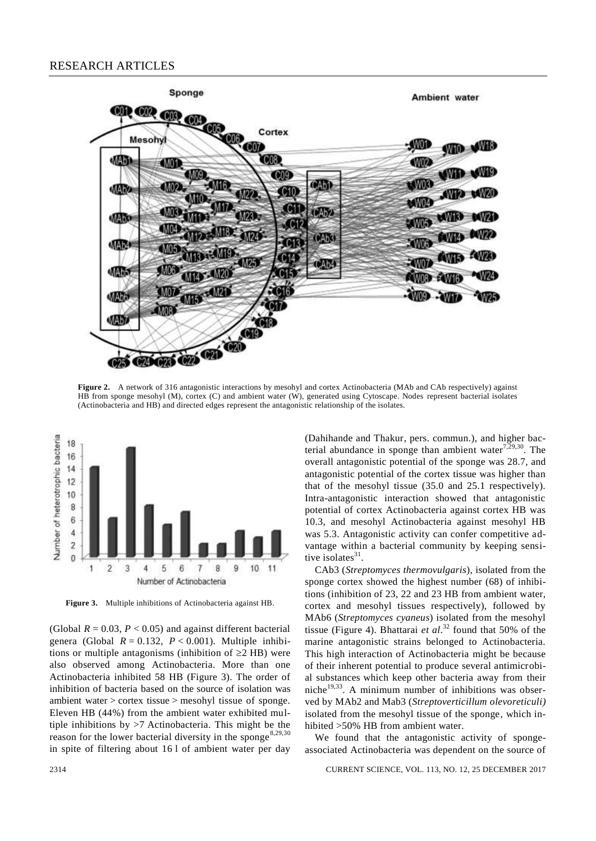

**Figure 2.** A network of 316 antagonistic interactions by mesohyl and cortex Actinobacteria (MAb and CAb respectively) against HB from sponge mesohyl (M), cortex (C) and ambient water (W), generated using Cytoscape. Nodes represent bacterial isolates (Actinobacteria and HB) and directed edges represent the antagonistic relationship of the isolates.



**Figure 3.** Multiple inhibitions of Actinobacteria against HB.

(Global  $R = 0.03$ ,  $P < 0.05$ ) and against different bacterial genera (Global  $R = 0.132$ ,  $P < 0.001$ ). Multiple inhibitions or multiple antagonisms (inhibition of  $\geq$ 2 HB) were also observed among Actinobacteria. More than one Actinobacteria inhibited 58 HB (Figure 3). The order of inhibition of bacteria based on the source of isolation was ambient water > cortex tissue > mesohyl tissue of sponge. Eleven HB (44%) from the ambient water exhibited multiple inhibitions by >7 Actinobacteria. This might be the reason for the lower bacterial diversity in the sponge<sup>8,29,30</sup> in spite of filtering about 16 l of ambient water per day (Dahihande and Thakur, pers. commun.), and higher bacterial abundance in sponge than ambient water $7,29,30$ . The overall antagonistic potential of the sponge was 28.7, and antagonistic potential of the cortex tissue was higher than that of the mesohyl tissue (35.0 and 25.1 respectively). Intra-antagonistic interaction showed that antagonistic potential of cortex Actinobacteria against cortex HB was 10.3, and mesohyl Actinobacteria against mesohyl HB was 5.3. Antagonistic activity can confer competitive advantage within a bacterial community by keeping sensitive isolates $31$ .

CAb3 (*Streptomyces thermovulgaris*), isolated from the sponge cortex showed the highest number (68) of inhibitions (inhibition of 23, 22 and 23 HB from ambient water, cortex and mesohyl tissues respectively), followed by MAb6 (*Streptomyces cyaneus*) isolated from the mesohyl tissue (Figure 4). Bhattarai *et al*. <sup>32</sup> found that 50% of the marine antagonistic strains belonged to Actinobacteria. This high interaction of Actinobacteria might be because of their inherent potential to produce several antimicrobial substances which keep other bacteria away from their niche $19,33$ . A minimum number of inhibitions was observed by MAb2 and Mab3 (*Streptoverticillum olevoreticuli)*  isolated from the mesohyl tissue of the sponge, which inhibited >50% HB from ambient water.

We found that the antagonistic activity of spongeassociated Actinobacteria was dependent on the source of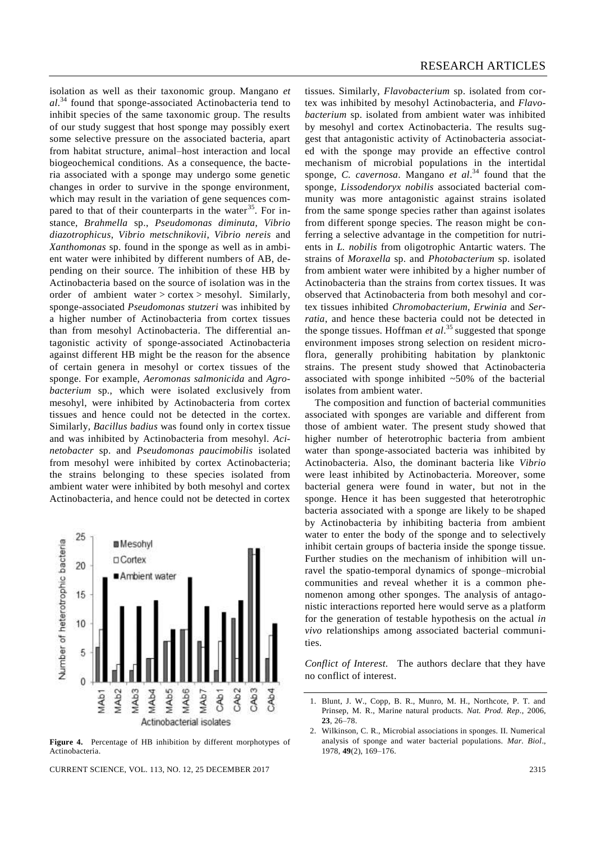isolation as well as their taxonomic group. Mangano *et al*. <sup>34</sup> found that sponge-associated Actinobacteria tend to inhibit species of the same taxonomic group. The results of our study suggest that host sponge may possibly exert some selective pressure on the associated bacteria, apart from habitat structure, animal–host interaction and local biogeochemical conditions. As a consequence, the bacteria associated with a sponge may undergo some genetic changes in order to survive in the sponge environment, which may result in the variation of gene sequences compared to that of their counterparts in the water  $35$ . For instance, *Brahmella* sp., *Pseudomonas diminuta*, *Vibrio diazotrophicus*, *Vibrio metschnikovii*, *Vibrio nereis* and *Xanthomonas* sp. found in the sponge as well as in ambient water were inhibited by different numbers of AB, depending on their source. The inhibition of these HB by Actinobacteria based on the source of isolation was in the order of ambient water > cortex > mesohyl. Similarly, sponge-associated *Pseudomonas stutzeri* was inhibited by a higher number of Actinobacteria from cortex tissues than from mesohyl Actinobacteria. The differential antagonistic activity of sponge-associated Actinobacteria against different HB might be the reason for the absence of certain genera in mesohyl or cortex tissues of the sponge. For example, *Aeromonas salmonicida* and *Agrobacterium* sp., which were isolated exclusively from mesohyl, were inhibited by Actinobacteria from cortex tissues and hence could not be detected in the cortex. Similarly, *Bacillus badius* was found only in cortex tissue and was inhibited by Actinobacteria from mesohyl. *Acinetobacter* sp. and *Pseudomonas paucimobilis* isolated from mesohyl were inhibited by cortex Actinobacteria; the strains belonging to these species isolated from ambient water were inhibited by both mesohyl and cortex Actinobacteria, and hence could not be detected in cortex



**Figure 4.** Percentage of HB inhibition by different morphotypes of Actinobacteria.

CURRENT SCIENCE, VOL. 113, NO. 12, 25 DECEMBER 2017 2315

tissues. Similarly, *Flavobacterium* sp. isolated from cortex was inhibited by mesohyl Actinobacteria, and *Flavobacterium* sp. isolated from ambient water was inhibited by mesohyl and cortex Actinobacteria. The results suggest that antagonistic activity of Actinobacteria associated with the sponge may provide an effective control mechanism of microbial populations in the intertidal sponge, *C. cavernosa*. Mangano *et al*. <sup>34</sup> found that the sponge, *Lissodendoryx nobilis* associated bacterial community was more antagonistic against strains isolated from the same sponge species rather than against isolates from different sponge species. The reason might be conferring a selective advantage in the competition for nutrients in *L. nobilis* from oligotrophic Antartic waters. The strains of *Moraxella* sp. and *Photobacterium* sp. isolated from ambient water were inhibited by a higher number of Actinobacteria than the strains from cortex tissues. It was observed that Actinobacteria from both mesohyl and cortex tissues inhibited *Chromobacterium, Erwinia* and *Serratia*, and hence these bacteria could not be detected in the sponge tissues. Hoffman *et al*.<sup>35</sup> suggested that sponge environment imposes strong selection on resident microflora, generally prohibiting habitation by planktonic strains. The present study showed that Actinobacteria associated with sponge inhibited  $~50\%$  of the bacterial isolates from ambient water.

The composition and function of bacterial communities associated with sponges are variable and different from those of ambient water. The present study showed that higher number of heterotrophic bacteria from ambient water than sponge-associated bacteria was inhibited by Actinobacteria. Also, the dominant bacteria like *Vibrio* were least inhibited by Actinobacteria. Moreover, some bacterial genera were found in water, but not in the sponge. Hence it has been suggested that heterotrophic bacteria associated with a sponge are likely to be shaped by Actinobacteria by inhibiting bacteria from ambient water to enter the body of the sponge and to selectively inhibit certain groups of bacteria inside the sponge tissue. Further studies on the mechanism of inhibition will unravel the spatio-temporal dynamics of sponge–microbial communities and reveal whether it is a common phenomenon among other sponges. The analysis of antagonistic interactions reported here would serve as a platform for the generation of testable hypothesis on the actual *in vivo* relationships among associated bacterial communities.

*Conflict of Interest.* The authors declare that they have no conflict of interest.

<sup>1.</sup> Blunt, J. W., Copp, B. R., Munro, M. H., Northcote, P. T. and Prinsep, M. R., Marine natural products. *Nat. Prod. Rep*., 2006, **23**, 26–78.

<sup>2.</sup> Wilkinson, C. R., Microbial associations in sponges. II. Numerical analysis of sponge and water bacterial populations. *Mar. Biol*., 1978, **49**(2), 169–176.